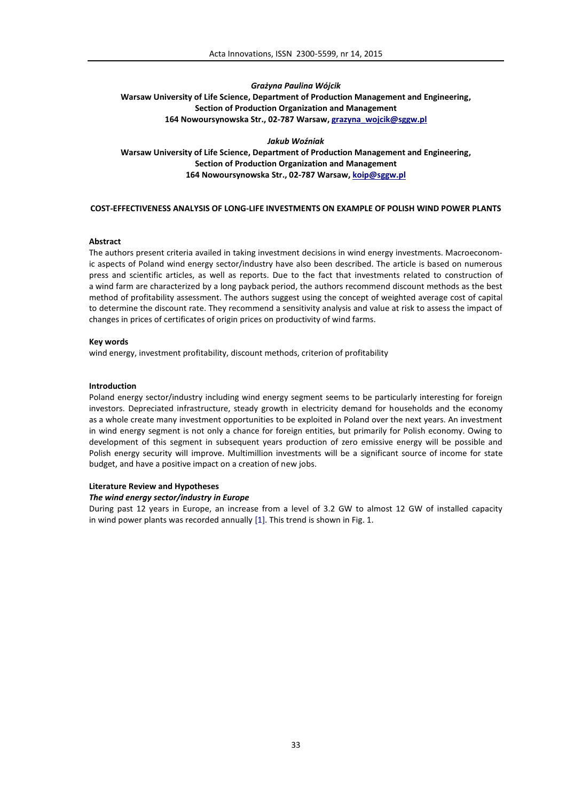# *Grażyna Paulina Wójcik* **Warsaw University of Life Science, Department of Production Management and Engineering, Section of Production Organization and Management 164 Nowoursynowska Str., 02-787 Warsaw, grazyna\_wojcik@sggw.pl**

*Jakub Woźniak* **Warsaw University of Life Science, Department of Production Management and Engineering, Section of Production Organization and Management 164 Nowoursynowska Str., 02-787 Warsaw, koip@sggw.pl**

#### **COST-EFFECTIVENESS ANALYSIS OF LONG-LIFE INVESTMENTS ON EXAMPLE OF POLISH WIND POWER PLANTS**

## **Abstract**

The authors present criteria availed in taking investment decisions in wind energy investments. Macroeconomic aspects of Poland wind energy sector/industry have also been described. The article is based on numerous press and scientific articles, as well as reports. Due to the fact that investments related to construction of a wind farm are characterized by a long payback period, the authors recommend discount methods as the best method of profitability assessment. The authors suggest using the concept of weighted average cost of capital to determine the discount rate. They recommend a sensitivity analysis and value at risk to assess the impact of changes in prices of certificates of origin prices on productivity of wind farms.

## **Key words**

wind energy, investment profitability, discount methods, criterion of profitability

## **Introduction**

Poland energy sector/industry including wind energy segment seems to be particularly interesting for foreign investors. Depreciated infrastructure, steady growth in electricity demand for households and the economy as a whole create many investment opportunities to be exploited in Poland over the next years. An investment in wind energy segment is not only a chance for foreign entities, but primarily for Polish economy. Owing to development of this segment in subsequent years production of zero emissive energy will be possible and Polish energy security will improve. Multimillion investments will be a significant source of income for state budget, and have a positive impact on a creation of new jobs.

# **Literature Review and Hypotheses**

#### *The wind energy sector/industry in Europe*

During past 12 years in Europe, an increase from a level of 3.2 GW to almost 12 GW of installed capacity in wind power plants was recorded annually [1]. This trend is shown in Fig. 1.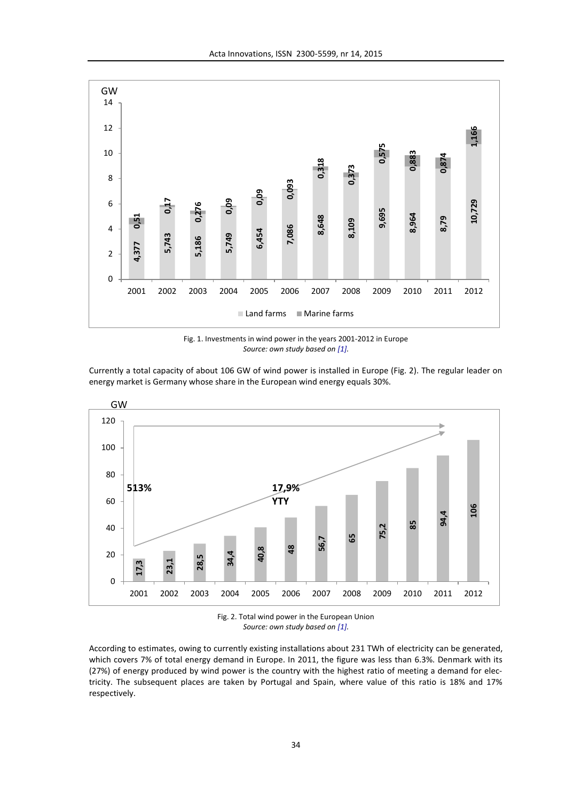

Fig. 1. Investments in wind power in the years 2001-2012 in Europe *Source: own study based on [1].*

Currently a total capacity of about 106 GW of wind power is installed in Europe (Fig. 2). The regular leader on energy market is Germany whose share in the European wind energy equals 30%.





According to estimates, owing to currently existing installations about 231 TWh of electricity can be generated, which covers 7% of total energy demand in Europe. In 2011, the figure was less than 6.3%. Denmark with its (27%) of energy produced by wind power is the country with the highest ratio of meeting a demand for electricity. The subsequent places are taken by Portugal and Spain, where value of this ratio is 18% and 17% respectively.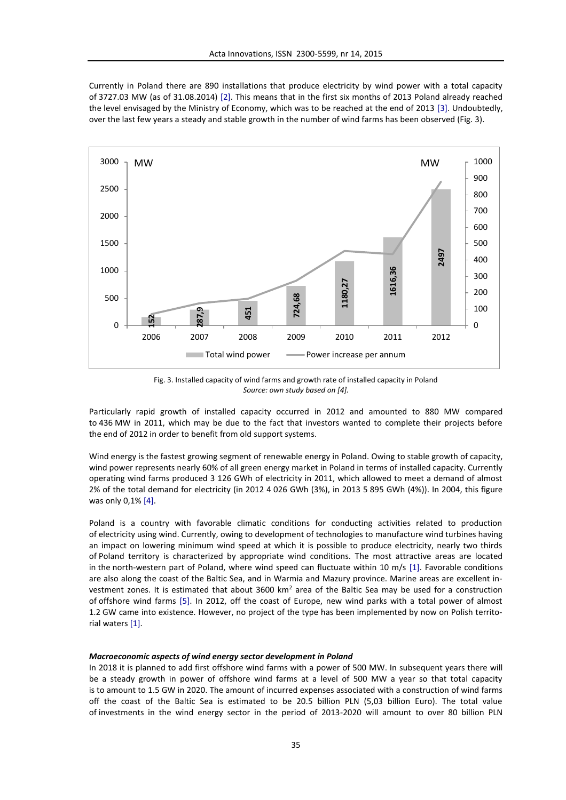Currently in Poland there are 890 installations that produce electricity by wind power with a total capacity of 3727.03 MW (as of 31.08.2014) [2]. This means that in the first six months of 2013 Poland already reached the level envisaged by the Ministry of Economy, which was to be reached at the end of 2013 [3]. Undoubtedly, over the last few years a steady and stable growth in the number of wind farms has been observed (Fig. 3).



Fig. 3. Installed capacity of wind farms and growth rate of installed capacity in Poland *Source: own study based on [4].*

Particularly rapid growth of installed capacity occurred in 2012 and amounted to 880 MW compared to 436 MW in 2011, which may be due to the fact that investors wanted to complete their projects before the end of 2012 in order to benefit from old support systems.

Wind energy is the fastest growing segment of renewable energy in Poland. Owing to stable growth of capacity, wind power represents nearly 60% of all green energy market in Poland in terms of installed capacity. Currently operating wind farms produced 3 126 GWh of electricity in 2011, which allowed to meet a demand of almost 2% of the total demand for electricity (in 2012 4 026 GWh (3%), in 2013 5 895 GWh (4%)). In 2004, this figure was only 0,1% [4].

Poland is a country with favorable climatic conditions for conducting activities related to production of electricity using wind. Currently, owing to development of technologies to manufacture wind turbines having an impact on lowering minimum wind speed at which it is possible to produce electricity, nearly two thirds of Poland territory is characterized by appropriate wind conditions. The most attractive areas are located in the north-western part of Poland, where wind speed can fluctuate within 10 m/s [1]. Favorable conditions are also along the coast of the Baltic Sea, and in Warmia and Mazury province. Marine areas are excellent investment zones. It is estimated that about 3600 km<sup>2</sup> area of the Baltic Sea may be used for a construction of offshore wind farms [5]. In 2012, off the coast of Europe, new wind parks with a total power of almost 1.2 GW came into existence. However, no project of the type has been implemented by now on Polish territorial waters [1].

#### *Macroeconomic aspects of wind energy sector development in Poland*

In 2018 it is planned to add first offshore wind farms with a power of 500 MW. In subsequent years there will be a steady growth in power of offshore wind farms at a level of 500 MW a year so that total capacity is to amount to 1.5 GW in 2020. The amount of incurred expenses associated with a construction of wind farms off the coast of the Baltic Sea is estimated to be 20.5 billion PLN (5,03 billion Euro). The total value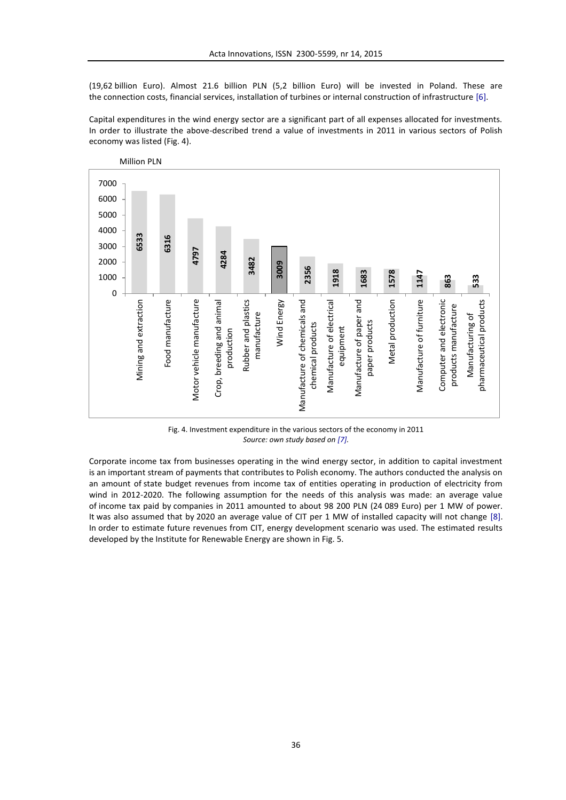(19,62 billion Euro). Almost 21.6 billion PLN (5,2 billion Euro) will be invested in Poland. These are the connection costs, financial services, installation of turbines or internal construction of infrastructure [6].

Capital expenditures in the wind energy sector are a significant part of all expenses allocated for investments. In order to illustrate the above-described trend a value of investments in 2011 in various sectors of Polish economy was listed (Fig. 4).



Fig. 4. Investment expenditure in the various sectors of the economy in 2011 *Source: own study based on [7].*

Corporate income tax from businesses operating in the wind energy sector, in addition to capital investment is an important stream of payments that contributes to Polish economy. The authors conducted the analysis on an amount of state budget revenues from income tax of entities operating in production of electricity from wind in 2012-2020. The following assumption for the needs of this analysis was made: an average value of income tax paid by companies in 2011 amounted to about 98 200 PLN (24 089 Euro) per 1 MW of power. It was also assumed that by 2020 an average value of CIT per 1 MW of installed capacity will not change [8]. In order to estimate future revenues from CIT, energy development scenario was used. The estimated results

36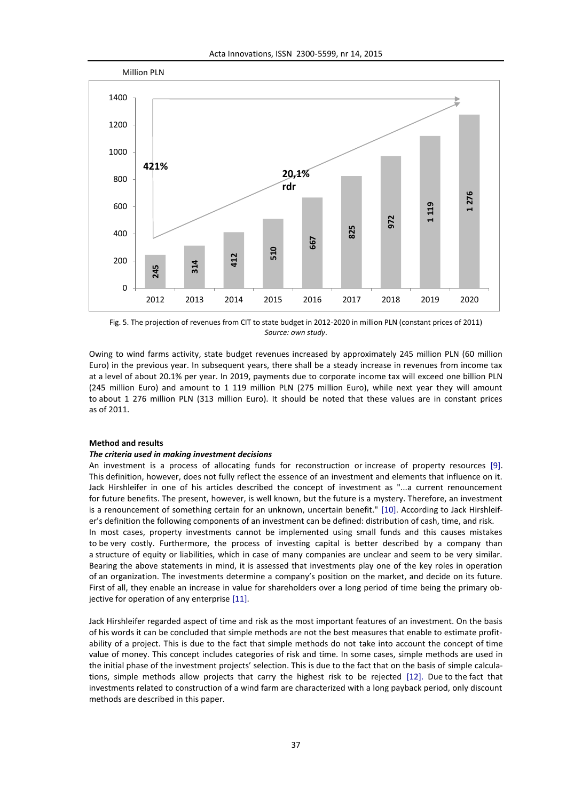

Fig. 5. The projection of revenues from CIT to state budget in 2012-2020 in million PLN (constant prices of 2011) *Source: own study*.

Owing to wind farms activity, state budget revenues increased by approximately 245 million PLN (60 million Euro) in the previous year. In subsequent years, there shall be a steady increase in revenues from income tax at a level of about 20.1% per year. In 2019, payments due to corporate income tax will exceed one billion PLN (245 million Euro) and amount to 1 119 million PLN (275 million Euro), while next year they will amount to about 1 276 million PLN (313 million Euro). It should be noted that these values are in constant prices as of 2011.

### **Method and results**

#### *The criteria used in making investment decisions*

An investment is a process of allocating funds for reconstruction or increase of property resources [9]. This definition, however, does not fully reflect the essence of an investment and elements that influence on it. Jack Hirshleifer in one of his articles described the concept of investment as "...a current renouncement for future benefits. The present, however, is well known, but the future is a mystery. Therefore, an investment is a renouncement of something certain for an unknown, uncertain benefit." [10]. According to Jack Hirshleifer's definition the following components of an investment can be defined: distribution of cash, time, and risk. In most cases, property investments cannot be implemented using small funds and this causes mistakes to be very costly. Furthermore, the process of investing capital is better described by a company than a structure of equity or liabilities, which in case of many companies are unclear and seem to be very similar. Bearing the above statements in mind, it is assessed that investments play one of the key roles in operation of an organization. The investments determine a company's position on the market, and decide on its future. First of all, they enable an increase in value for shareholders over a long period of time being the primary objective for operation of any enterprise [11]. 2001<br>
1920<br>
2012 2013<br>
Fig. 5. The projection of revenues f<br>
Owing to wind farms activity, state<br>
Euro) in the previous year. In subsect<br>
245 million Euro) and amount to<br>
245 million Euro) and amount to<br>
to about 1 276 mil

Jack Hirshleifer regarded aspect of time and risk as the most important features of an investment. On the basis of his words it can be concluded that simple methods are not the best measures that enable to estimate profitability of a project. This is due to the fact that simple methods do not take into account the concept of time value of money. This concept includes categories of risk and time. In some cases, simple methods are used in the initial phase of the investment projects' selection. This is due to the fact that on the basis of simple calculations, simple methods allow projects that carry the highest risk to be rejected [12]. Due to the fact that investments related to construction of a wind farm are characterized with a long payback period, only discount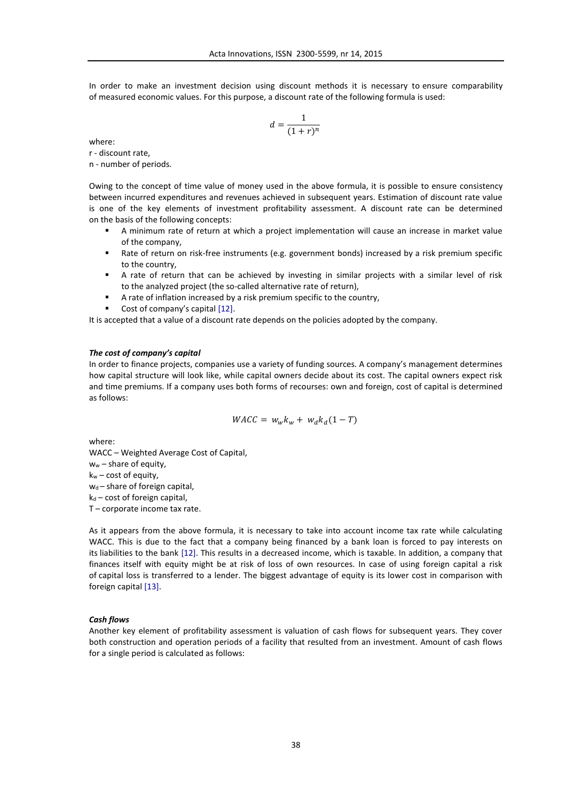In order to make an investment decision using discount methods it is necessary to ensure comparability of measured economic values. For this purpose, a discount rate of the following formula is used:

$$
d = \frac{1}{(1+r)^n}
$$

where:

r - discount rate,

n - number of periods.

Owing to the concept of time value of money used in the above formula, it is possible to ensure consistency between incurred expenditures and revenues achieved in subsequent years. Estimation of discount rate value is one of the key elements of investment profitability assessment. A discount rate can be determined on the basis of the following concepts:

- A minimum rate of return at which a project implementation will cause an increase in market value of the company,
- Rate of return on risk-free instruments (e.g. government bonds) increased by a risk premium specific to the country,
- A rate of return that can be achieved by investing in similar projects with a similar level of risk to the analyzed project (the so-called alternative rate of return),
- A rate of inflation increased by a risk premium specific to the country,
- Cost of company's capital [12].

It is accepted that a value of a discount rate depends on the policies adopted by the company.

#### *The cost of company's capital*

In order to finance projects, companies use a variety of funding sources. A company's management determines how capital structure will look like, while capital owners decide about its cost. The capital owners expect risk and time premiums. If a company uses both forms of recourses: own and foreign, cost of capital is determined as follows:

$$
WACC = w_w k_w + w_d k_d (1 - T)
$$

where:

WACC – Weighted Average Cost of Capital, ww – share of equity, kw – cost of equity, wd - share of foreign capital,  $k_d$  – cost of foreign capital, T – corporate income tax rate.

As it appears from the above formula, it is necessary to take into account income tax rate while calculating WACC. This is due to the fact that a company being financed by a bank loan is forced to pay interests on its liabilities to the bank [12]. This results in a decreased income, which is taxable. In addition, a company that finances itself with equity might be at risk of loss of own resources. In case of using foreign capital a risk of capital loss is transferred to a lender. The biggest advantage of equity is its lower cost in comparison with foreign capital [13].

# *Cash flows*

Another key element of profitability assessment is valuation of cash flows for subsequent years. They cover both construction and operation periods of a facility that resulted from an investment. Amount of cash flows for a single period is calculated as follows: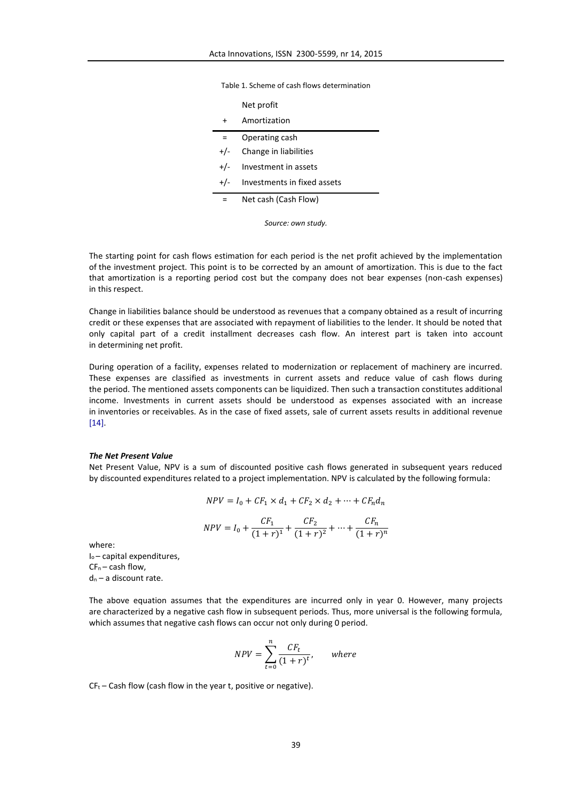Table 1. Scheme of cash flows determination

|           | Net profit                  |
|-----------|-----------------------------|
| $\ddot{}$ | Amortization                |
| $=$       | Operating cash              |
| $+/-$     | Change in liabilities       |
|           | $+/-$ Investment in assets  |
| $+/-$     | Investments in fixed assets |
|           | Net cash (Cash Flow)        |

*Source: own study.*

The starting point for cash flows estimation for each period is the net profit achieved by the implementation of the investment project. This point is to be corrected by an amount of amortization. This is due to the fact that amortization is a reporting period cost but the company does not bear expenses (non-cash expenses) in this respect.

Change in liabilities balance should be understood as revenues that a company obtained as a result of incurring credit or these expenses that are associated with repayment of liabilities to the lender. It should be noted that only capital part of a credit installment decreases cash flow. An interest part is taken into account in determining net profit.

During operation of a facility, expenses related to modernization or replacement of machinery are incurred. These expenses are classified as investments in current assets and reduce value of cash flows during the period. The mentioned assets components can be liquidized. Then such a transaction constitutes additional income. Investments in current assets should be understood as expenses associated with an increase in inventories or receivables. As in the case of fixed assets, sale of current assets results in additional revenue [14].

### *The Net Present Value*

Net Present Value, NPV is a sum of discounted positive cash flows generated in subsequent years reduced by discounted expenditures related to a project implementation. NPV is calculated by the following formula:

$$
NPV = I_0 + CF_1 \times d_1 + CF_2 \times d_2 + \dots + CF_n d_n
$$

$$
NPV = I_0 + \frac{CF_1}{(1+r)^1} + \frac{CF_2}{(1+r)^2} + \dots + \frac{CF_n}{(1+r)^n}
$$

where:

I<sub>o</sub>-capital expenditures,  $CF_n - cash flow$ ,  $d_n$  – a discount rate.

The above equation assumes that the expenditures are incurred only in year 0. However, many projects are characterized by a negative cash flow in subsequent periods. Thus, more universal is the following formula, which assumes that negative cash flows can occur not only during 0 period.

$$
NPV = \sum_{t=0}^{n} \frac{CF_t}{(1+r)^t}, \quad where
$$

 $CF_t$  – Cash flow (cash flow in the year t, positive or negative).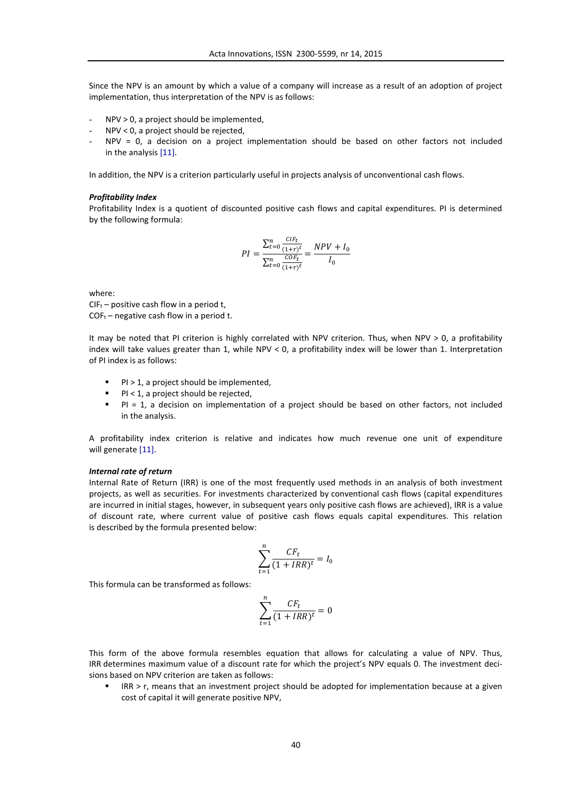Since the NPV is an amount by which a value of a company will increase as a result of an adoption of project implementation, thus interpretation of the NPV is as follows:

- NPV > 0, a project should be implemented,
- NPV < 0, a project should be rejected,
- $NPV = 0$ , a decision on a project implementation should be based on other factors not included in the analysis [11].

In addition, the NPV is a criterion particularly useful in projects analysis of unconventional cash flows.

### *Profitability Index*

Profitability Index is a quotient of discounted positive cash flows and capital expenditures. PI is determined by the following formula:

$$
PI = \frac{\sum_{t=0}^{n} \frac{CIF_t}{(1+r)^t}}{\sum_{t=0}^{n} \frac{COF_t}{(1+r)^t}} = \frac{NPV + I_0}{I_0}
$$

where:

 $CIF_t$  – positive cash flow in a period t,  $COF_t$  – negative cash flow in a period t.

It may be noted that PI criterion is highly correlated with NPV criterion. Thus, when NPV > 0, a profitability index will take values greater than 1, while NPV < 0, a profitability index will be lower than 1. Interpretation of PI index is as follows:

- PI > 1, a project should be implemented,
- $Pl < 1$ , a project should be rejected,
- PI = 1, a decision on implementation of a project should be based on other factors, not included in the analysis.

A profitability index criterion is relative and indicates how much revenue one unit of expenditure will generate [11].

### *Internal rate of return*

Internal Rate of Return (IRR) is one of the most frequently used methods in an analysis of both investment projects, as well as securities. For investments characterized by conventional cash flows (capital expenditures are incurred in initial stages, however, in subsequent years only positive cash flows are achieved), IRR is a value of discount rate, where current value of positive cash flows equals capital expenditures. This relation is described by the formula presented below:

$$
\sum_{t=1}^{n} \frac{CF_t}{(1 + IRR)^t} = I_0
$$

This formula can be transformed as follows:

$$
\sum_{t=1}^n \frac{CF_t}{(1 + IRR)^t} = 0
$$

This form of the above formula resembles equation that allows for calculating a value of NPV. Thus, IRR determines maximum value of a discount rate for which the project's NPV equals 0. The investment decisions based on NPV criterion are taken as follows:

 IRR > r, means that an investment project should be adopted for implementation because at a given cost of capital it will generate positive NPV,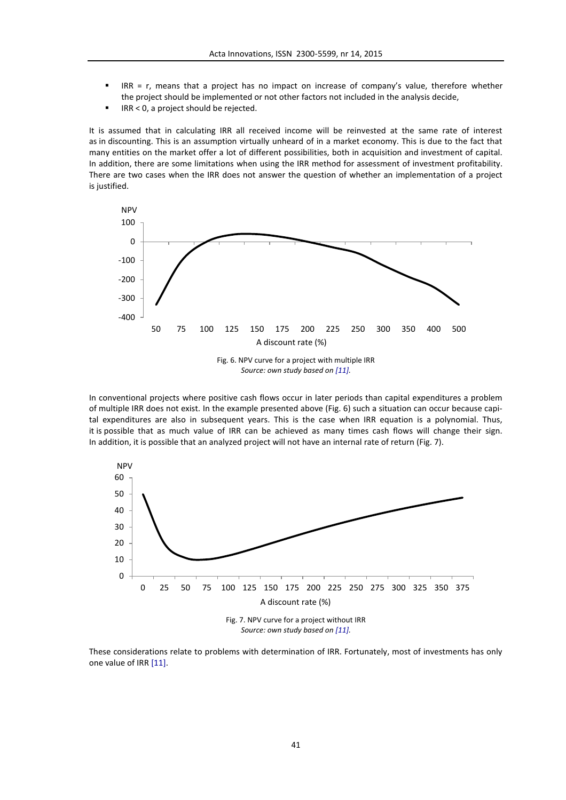- $IRR = r$ , means that a project has no impact on increase of company's value, therefore whether the project should be implemented or not other factors not included in the analysis decide,
- IRR < 0, a project should be rejected.

It is assumed that in calculating IRR all received income will be reinvested at the same rate of interest as in discounting. This is an assumption virtually unheard of in a market economy. This is due to the fact that many entities on the market offer a lot of different possibilities, both in acquisition and investment of capital. In addition, there are some limitations when using the IRR method for assessment of investment profitability. There are two cases when the IRR does not answer the question of whether an implementation of a project is justified.



In conventional projects where positive cash flows occur in later periods than capital expenditures a problem of multiple IRR does not exist. In the example presented above (Fig. 6) such a situation can occur because capital expenditures are also in subsequent years. This is the case when IRR equation is a polynomial. Thus, it is possible that as much value of IRR can be achieved as many times cash flows will change their sign. In addition, it is possible that an analyzed project will not have an internal rate of return (Fig. 7).



*Source: own study based on [11].*

These considerations relate to problems with determination of IRR. Fortunately, most of investments has only one value of IRR [11].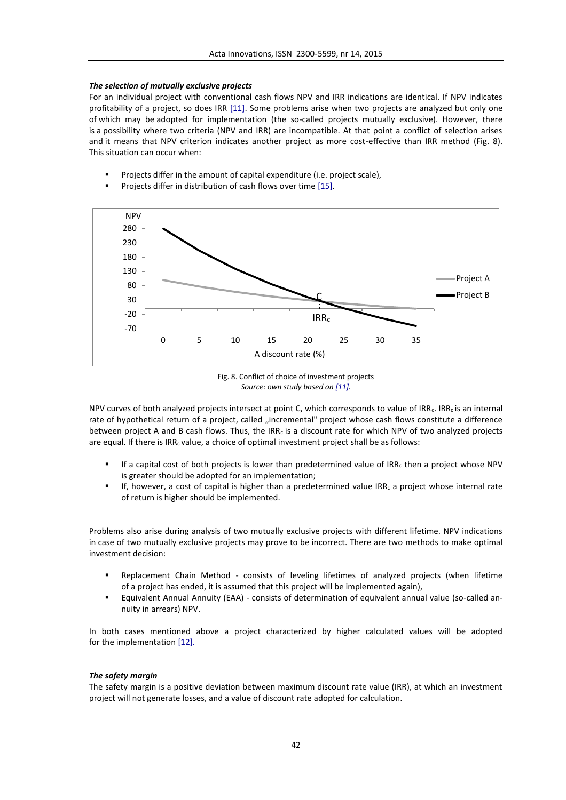# *The selection of mutually exclusive projects*

For an individual project with conventional cash flows NPV and IRR indications are identical. If NPV indicates profitability of a project, so does IRR [11]. Some problems arise when two projects are analyzed but only one of which may be adopted for implementation (the so-called projects mutually exclusive). However, there is a possibility where two criteria (NPV and IRR) are incompatible. At that point a conflict of selection arises and it means that NPV criterion indicates another project as more cost-effective than IRR method (Fig. 8). This situation can occur when:

- Projects differ in the amount of capital expenditure (i.e. project scale),
- Projects differ in distribution of cash flows over time [15].





NPV curves of both analyzed projects intersect at point C, which corresponds to value of IRR<sub>c</sub>. IRR<sub>c</sub> is an internal rate of hypothetical return of a project, called "incremental" project whose cash flows constitute a difference between project A and B cash flows. Thus, the IRR<sub>c</sub> is a discount rate for which NPV of two analyzed projects are equal. If there is  $IRR<sub>c</sub>$  value, a choice of optimal investment project shall be as follows:

- If a capital cost of both projects is lower than predetermined value of  $IRR<sub>c</sub>$  then a project whose NPV is greater should be adopted for an implementation;
- If, however, a cost of capital is higher than a predetermined value IRRc a project whose internal rate of return is higher should be implemented.

Problems also arise during analysis of two mutually exclusive projects with different lifetime. NPV indications in case of two mutually exclusive projects may prove to be incorrect. There are two methods to make optimal investment decision:

- Replacement Chain Method consists of leveling lifetimes of analyzed projects (when lifetime of a project has ended, it is assumed that this project will be implemented again),
- Equivalent Annual Annuity (EAA) consists of determination of equivalent annual value (so-called annuity in arrears) NPV.

In both cases mentioned above a project characterized by higher calculated values will be adopted for the implementation [12].

# *The safety margin*

The safety margin is a positive deviation between maximum discount rate value (IRR), at which an investment project will not generate losses, and a value of discount rate adopted for calculation.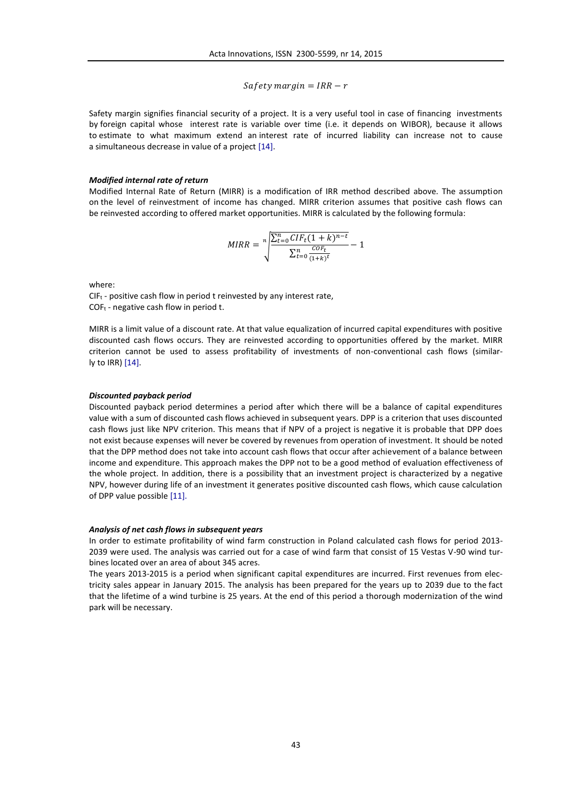$Safety margin = IRR - r$ 

Safety margin signifies financial security of a project. It is a very useful tool in case of financing investments by foreign capital whose interest rate is variable over time (i.e. it depends on WIBOR), because it allows to estimate to what maximum extend an interest rate of incurred liability can increase not to cause a simultaneous decrease in value of a project [14].

### *Modified internal rate of return*

Modified Internal Rate of Return (MIRR) is a modification of IRR method described above. The assumption on the level of reinvestment of income has changed. MIRR criterion assumes that positive cash flows can be reinvested according to offered market opportunities. MIRR is calculated by the following formula:

$$
MIRR = \sqrt[n]{\frac{\sum_{t=0}^{n} CIF_{t}(1+k)^{n-t}}{\sum_{t=0}^{n} \frac{COF_{t}}{(1+k)^{t}}}} - 1
$$

where:

 $CIF_t$  - positive cash flow in period t reinvested by any interest rate,  $COF<sub>t</sub>$  - negative cash flow in period t.

MIRR is a limit value of a discount rate. At that value equalization of incurred capital expenditures with positive discounted cash flows occurs. They are reinvested according to opportunities offered by the market. MIRR criterion cannot be used to assess profitability of investments of non-conventional cash flows (similarly to IRR) [14].

#### *Discounted payback period*

Discounted payback period determines a period after which there will be a balance of capital expenditures value with a sum of discounted cash flows achieved in subsequent years. DPP is a criterion that uses discounted cash flows just like NPV criterion. This means that if NPV of a project is negative it is probable that DPP does not exist because expenses will never be covered by revenues from operation of investment. It should be noted that the DPP method does not take into account cash flows that occur after achievement of a balance between income and expenditure. This approach makes the DPP not to be a good method of evaluation effectiveness of the whole project. In addition, there is a possibility that an investment project is characterized by a negative NPV, however during life of an investment it generates positive discounted cash flows, which cause calculation of DPP value possible [11].

#### *Analysis of net cash flows in subsequent years*

In order to estimate profitability of wind farm construction in Poland calculated cash flows for period 2013- 2039 were used. The analysis was carried out for a case of wind farm that consist of 15 Vestas V-90 wind turbines located over an area of about 345 acres.

The years 2013-2015 is a period when significant capital expenditures are incurred. First revenues from electricity sales appear in January 2015. The analysis has been prepared for the years up to 2039 due to the fact that the lifetime of a wind turbine is 25 years. At the end of this period a thorough modernization of the wind park will be necessary.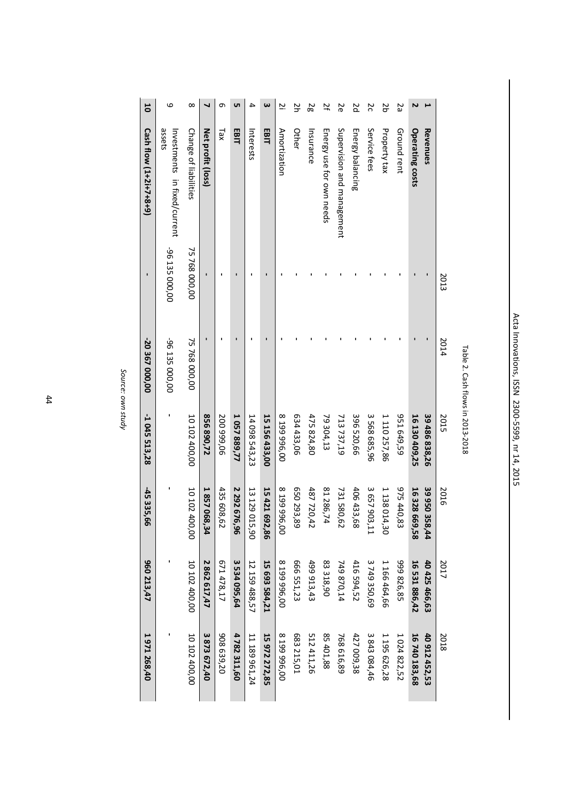| ١<br>ׇ֚֕֡                                           |
|-----------------------------------------------------|
| í<br>֘֝֕                                            |
|                                                     |
|                                                     |
| l                                                   |
|                                                     |
|                                                     |
|                                                     |
| ١                                                   |
|                                                     |
| l<br>i                                              |
|                                                     |
| l<br>ׇ֚֡                                            |
|                                                     |
| ţ<br>ı                                              |
| Í                                                   |
|                                                     |
|                                                     |
| ı<br>١                                              |
| ١<br>ׇׇ֚֡֡֡                                         |
| ĺ<br>֚֡֡֡                                           |
| ֓֕֕֡<br>֚֡֡֡                                        |
|                                                     |
| Ċ<br>ı                                              |
| Ç<br>ı                                              |
| ֧֧֧֧֧ׅ֧֧֚֚֚֚֚֚֚֚֚֚֚֚֚֚֚֚֚֚֚֚֚֚֚֚֚֚֚֚֚֚֚֡֡֜֡֜֝֓<br>١ |
| ׇ֚֕֡                                                |
|                                                     |
| $\ddot{\phantom{0}}$                                |
|                                                     |
|                                                     |
| I                                                   |
|                                                     |
| ֚֡֕                                                 |
| í                                                   |
|                                                     |
|                                                     |
|                                                     |

| Š               |
|-----------------|
|                 |
| l               |
| ,               |
|                 |
| ۱               |
| ֠               |
|                 |
| ١               |
|                 |
| Ì               |
| :               |
| I               |
| ١               |
|                 |
|                 |
|                 |
|                 |
| ١               |
|                 |
|                 |
| Š               |
| $\epsilon$<br>n |
|                 |
|                 |

| $\infty$<br><b>υ</b> τ<br>ω<br>6<br>┙<br>Φ<br>4<br><u>يا</u><br>Change of liabilities<br>assets<br>Net profit (loss)<br>EBIT<br>EBIT<br>Amortization<br>Tax<br>Interests |  |  |  |  | ΡZ<br>Other | 29<br>Insurance | 75<br>Energy use for own needs | 26                         | pz<br>Energy balancing | 20<br>Service fees | 50<br>Property tax | 25<br>Ground rent | Z<br>Operating costs | Revenues        |      |
|--------------------------------------------------------------------------------------------------------------------------------------------------------------------------|--|--|--|--|-------------|-----------------|--------------------------------|----------------------------|------------------------|--------------------|--------------------|-------------------|----------------------|-----------------|------|
| Investments in fixed/current                                                                                                                                             |  |  |  |  |             |                 |                                | Supervision and management |                        |                    |                    |                   |                      |                 |      |
| -96 135 000,00<br>75 768 000,00                                                                                                                                          |  |  |  |  |             |                 |                                |                            |                        |                    |                    |                   |                      |                 | 2013 |
| 75 768 000,00<br>-96 135 000,00                                                                                                                                          |  |  |  |  |             |                 |                                |                            |                        |                    |                    |                   |                      |                 | 2014 |
| 10 102 400,00<br>634 433,06<br>856 890,72<br>1 057 889,77<br>15 156 433,00<br>8 199 996,00<br>200 999,06<br>14 098 543,23                                                |  |  |  |  |             | 475 824,80      | 79 304,13                      | 713 737,19                 | 396 520,66             | 3 568 685,96       | 1 110 257,86       | 951 649,59        | 16 130 409,25        | 39 486 838,26   | 2015 |
| 10 102 400,00<br>2 292 676,96<br>15 421 692,86<br>650 293,89<br>1857068,34<br>435 608<br>8 199 996,00<br>13 129 015,90<br>487 720,42<br>é2                               |  |  |  |  |             |                 | 81 286,74                      | 731 580,62                 | 406 433,68             | 3 657 903,11       | 1 138 014,30       | 975 440,83        | 16 328 669,58        | 399503<br>58,44 | 2016 |
| 10 102 400,00<br>3 534 095,64<br>666 551,23<br>2862617,47<br>671 478,17<br>15 693 584,21<br>8 199 996,00<br>499913,43<br>12 159 488,57                                   |  |  |  |  |             |                 | 83318,90                       | 749870,14                  | 416 594,52             | 3749350,69         | 1 166 464,66       | 999 826,85        | 16 531 886,42        | 40 425 466,63   | 2017 |
| 10 102 400,00<br>3 873 672,40<br>908 639,20<br>4782311,60<br>15 972 272,85<br>8 199 996,00<br>683 215,01<br>11 189 961,24                                                |  |  |  |  |             | 512 411,26      | 85 401,88                      | 768 616,89                 | 427 009,38             | 3 843 084,46       | 1 195 626,28       | 1 024 822,52      | 16 740 183,68        | 40 912 452,53   | 2018 |

Source: own study *Source: own study*

44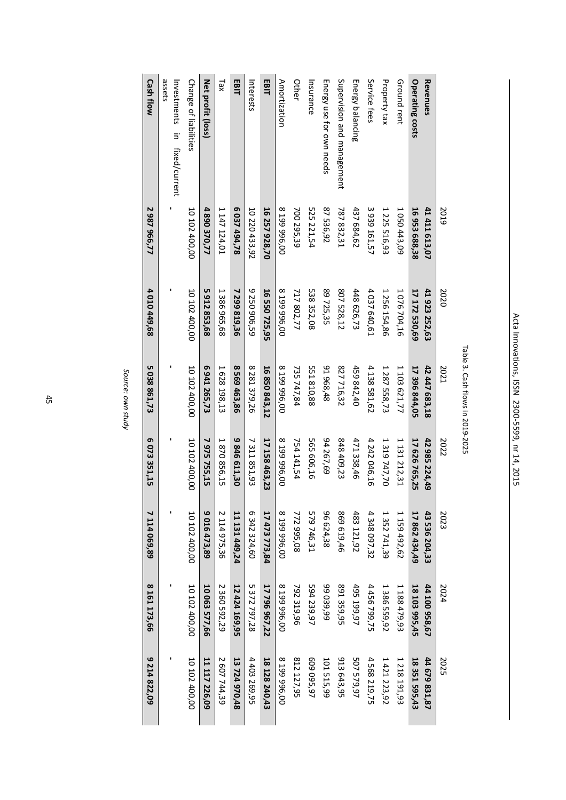| 9 214 822,09  | 8 161 173,66  | 7 114 069,89  | 6073351,15    | 5 038 861,73  | 4 010 449,68  | 2987966,77    | <b>Cash flow</b>                       |
|---------------|---------------|---------------|---------------|---------------|---------------|---------------|----------------------------------------|
|               |               |               |               |               |               |               | assets<br>Investments in fixed/current |
| 10 102 400,00 | 10 102 400,00 | 10 102 400,00 | 10 102 400,00 | 10 102 400,00 | 10 102 400,00 | 10 102 400,00 | Change of liabilities                  |
| 11 117 226,09 | 10 063 577,66 | 9 016 473,89  | 7 975 755,15  | 6 941 265,73  | 5912853,68    | 4 890 370,77  | Net profit (loss)                      |
| 2 607 744,39  | 2 360 592, 29 | 2 114 975,36  | 1870 856,15   | 1628 198,13   | 1386 965,68   | 147124,01     | Tax                                    |
| 13 724 970,48 | 12 424 169,95 | 11 131 449,24 | 9846611,30    | 8 569 463,86  | 7 299 819,36  | 6 037 494,78  | EBIT                                   |
| 4 403 269,95  | 5 372 797,28  | 6 342 324,60  | 7 311 851,93  | 8 281 379,26  | 9 250 906,59  | 10 220 433,92 | Interests                              |
| 18 128 240,43 | 17 796 967,22 | 17 473 773,84 | 17 158 463,23 | 16 850 843,12 | 16 550 725,95 | 16 257 928,70 | EBIT                                   |
| 8 199 996,00  | 8 199 996,00  | 8 199 996,00  | 8 199 996,00  | 8 199 996,00  | 8 199 996,00  | 8 199 996,00  | Amortization                           |
| 812 127,95    | 792 319,96    | 772 995,08    | 754 141,54    | 735747,84     | 717 802,77    | 700 295,39    | Other                                  |
| 609 095,97    | 594 239,97    | 579 746,31    | 565 606,16    | 551 810,88    | 538 352,08    | 525 221,54    | Insurance                              |
| 101 515,99    | 99 039,99     | 96 624,38     | 94267,69      | 91968,48      | 89 725,35     | 87 536,92     | Energy use for own needs               |
| 913 643,95    | 891 359,95    | 869 619,46    | 848 409,23    | 827 716,32    | 807 528,12    | 787 832,31    | Supervision and management             |
| 507 579,97    | 495 199,97    | 483 121,92    | 471 338,46    | 459 842,40    | 448 626,73    | 437 684,62    | Energy balancing                       |
| 4 568 219,75  | 4 456 799, 75 | 4 348 097,32  | 4 242 046,16  | 4 138 581,62  | 4 037 640,61  | 3 939 161,57  | Service fees                           |
| 1421223,92    | 1 386 559,92  | 1 352 741,39  | 1 319 747,70  | 1 287 558,73  | 1 256 154,86  | 1 225 516,93  | Property tax                           |
| 1 218 191,93  | 1 188 479,93  | 1 159 492,62  | 1 131 212,31  | 1 103 621,77  | 1 076 704,16  | 1 050 443,09  | Ground rent                            |
| 18 351 595,43 | 18 103 995,45 | 17 862 434,49 | 17 626 765,25 | 17 396 844,05 | 17 172 530,69 | 16953688,38   | Operating costs                        |
| 44 679 831,87 | 44 100 958,67 | 43 536 204,33 | 42 985 224,49 | 42 447 683,18 | 41 923 252,63 | 41 411 613,07 | Revenues                               |
| 2025          | 2024          | 2023          | 2022          | 2021          | 2020          | 2019          |                                        |

Source: own study *Source: own study*

45

Acta Innovations, ISSN 2300-5599, nr 14, 2015 Acta Innovations, ISSN 2300-5599, nr 14, 2015

Table 3. Cash flows in 2019-2025

Table 3. Cash flows in 2019-2025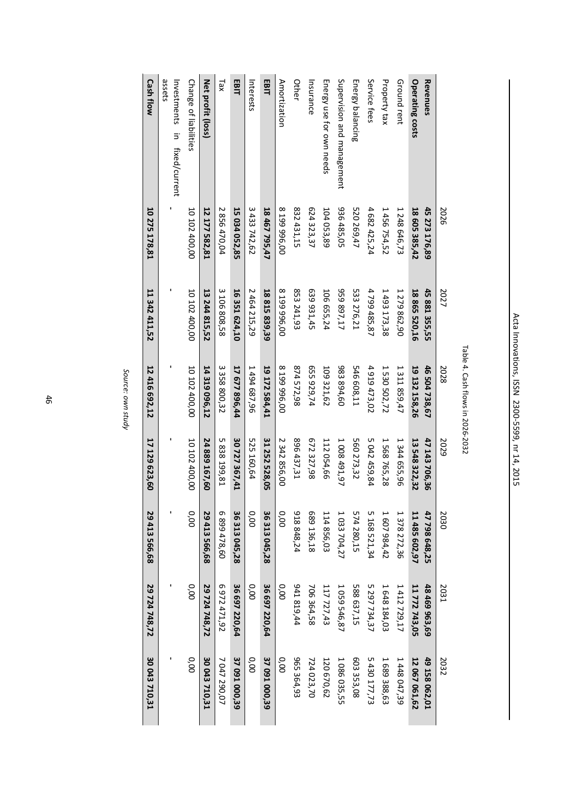| 30 043 710,31 | 29 724 748,72 | 29 413 566,68 | 17 129 623,60 | 12 416 692,12 | 11 342 411,52 | 10 275 178,81 | <b>Cash flow</b>                       |
|---------------|---------------|---------------|---------------|---------------|---------------|---------------|----------------------------------------|
|               |               |               |               |               |               |               | assets<br>Investments in fixed/current |
| 0.00          | 0.00          | 0.00          | 10 102 400,00 | 10 102 400,00 | 10 102 400,00 | 10 102 400,00 | Change of liabilities                  |
| 30 043 710,31 | 29 724 748,72 | 29 413 566,68 | 24 889 167,60 | 14 319 096,12 | 13 244 815,52 | 12 177 582,81 | Net profit (loss)                      |
| 7 047 290,07  | 6972471,92    | 6 899 478,60  | 5838199,81    | 3 358 800,32  | 3 106 808,58  | 2 856 470,04  | xe <sub>1</sub>                        |
| 37 091 000,39 | 36 697 220,64 | 36 313 045,28 | 30 727 367,41 | 17 677 896,44 | 16 351 624,10 | 15 034 052,85 | EBIT                                   |
| 0.00          | 0,00          | 0.00          | 525 160,64    | 1 494 687,96  | 2 464 215,29  | 3 433 742,62  | Interests                              |
| 37 091 000,39 | 36 697 220,64 | 36 313 045,28 | 31 252 528,05 | 19 172 584,41 | 18 815 839,39 | 18 467 795,47 | EBIT                                   |
| 0.00          | 0,00          | 0.00          | 2 342 856,00  | 8 199 996,00  | 8 199 996,00  | 8 199 996,00  | Amortization                           |
| 965 364,93    | 941 819,44    | 918 848,24    | 896 437,31    | 874572,98     | 853 241,93    | 832 431,15    | Other                                  |
| 724 023,70    | 706 364,58    | 689 136,18    | 672 327,98    | 655 929,74    | 639 931,45    | 624 323, 37   | Insurance                              |
| 120 670,62    | 117727,43     | 114 856,03    | 112 054,66    | 109321,62     | 106 655,24    | 104 053,89    | Energy use for own needs               |
| 1 086 035,55  | 1 059 546,87  | 1 033 704,27  | 1 008 491,97  | 983894,60     | 959 897,17    | 936 485,05    | Supervision and management             |
| 603 353,08    | 588 637,15    | 574 280,15    | 560 273,32    | 546 608,11    | 533 276,21    | 520 269,47    | Energy balancing                       |
| 5 430 177,73  | 5 297 734, 37 | 5 168 521,34  | 5042459,84    | 4 919 473,02  | 4799485,87    | 4 682 425,24  | Service fees                           |
| 1689388,63    | 1648184,03    | 1 607 984,42  | 1 568 765,28  | 1 530 502,72  | 1493173,38    | 1 456 754,52  | Property tax                           |
| 1 448 047,39  | 1412729,17    | 1 378 272,36  | 1 344 655,96  | 1 311 859,47  | 1279862,90    | 1 248 646,73  | Ground rent                            |
| 12 067 061,62 | 11 772 743,05 | 11 485 602,97 | 13 548 322,32 | 19 132 158,26 | 18 865 520,16 | 18 605 385,42 | Operating costs                        |
| 49 158 062,01 | 48 469 963,69 | 47 798 648,25 | 47 143 706,36 | 46 504 738,67 | 45 881 355,55 | 45 273 176,89 | Revenues                               |
| 2032          | 2031          | 2030          | 2029          | 2028          | 2027          | 2026          |                                        |

Source: own study *Source: own study*

46

Acta Innovations, ISSN 2300-5599, nr 14, 2015 Acta Innovations, ISSN 2300-5599, nr 14, 2015

Table 4. Cash flows in 2026-2032

Table 4. Cash flows in 2026-2032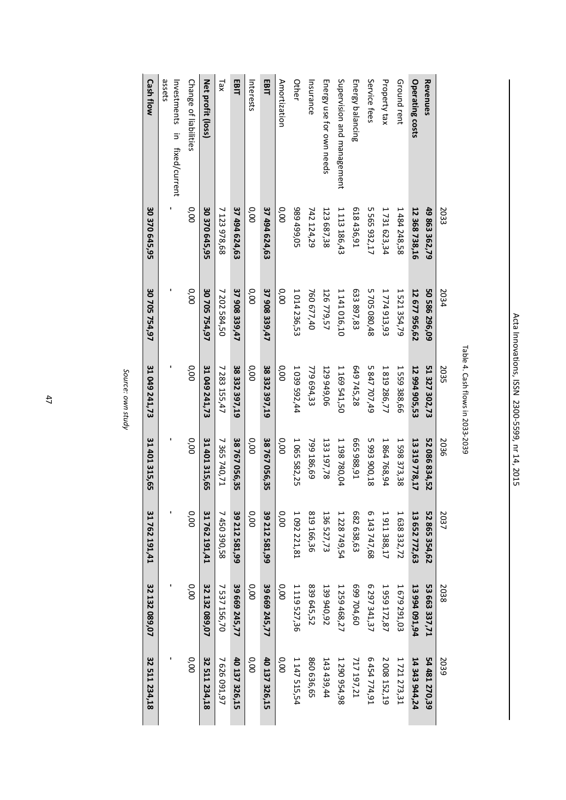| 32 511 234,18 | 32 132 089,07 | 31 762 191,41 | 31 401 315,65 | 31 049 241,73 | 30 705 754,97 | 30 370 645,95 | <b>Cash flow</b>                       |
|---------------|---------------|---------------|---------------|---------------|---------------|---------------|----------------------------------------|
|               |               |               |               |               |               |               | assets<br>Investments in fixed/current |
| 0.00          | 0.00          | 0.00          | 0.00          | 0.00          | 000           | 0.00          | Change of liabilities                  |
| 32 511 234,18 | 32 132 089,07 | 31762191,41   | 31 401 315,65 | 31 049 241,73 | 30 705 754,97 | 30 370 645,95 | Net profit (loss)                      |
| 7626091,97    | 7 537 156,70  | 7 450 390,58  | 7 365 740,71  | 7 283 155,47  | 7 202 584,50  | 7 123 978,68  | xe <sub>1</sub>                        |
| 40 137 326,15 | 39 669 245,77 | 39 212 581,99 | 38767056,35   | 38 332 397,19 | 37 908 339,47 | 37 494 624,63 | EBIT                                   |
| 0.00          | 0.00          | 0.00          | 0.00          | 0.00          | 0.00          | 0.00          | Interests                              |
| 40 137 326,15 | 39 669 245,77 | 39 212 581,99 | 38767056,35   | 38 332 397,19 | 37 908 339,47 | 37 494 624,63 | EBIT                                   |
| 0.00          | 0.00          | 0.00          | 0.00          | 0.00          | 0.00          | 0.00          | Amortization                           |
| 1147515,54    | 1 119 527,36  | 1 092 221,81  | 1 065 582,25  | 1 039 592,44  | 1 014 236,53  | 989 499,05    | Other                                  |
| 860 636,65    | 839 645,52    | 819 166,36    | 799 186,69    | 779 694,33    | 760 677,40    | 742 124,29    | Insurance                              |
| 143 439,44    | 139 940,92    | 136 527,73    | 133 197,78    | 129 949,06    | 126 779,57    | 123 687,38    | Energy use for own needs               |
| 1 290 954,98  | 1 259 468,27  | 1 228 749,54  | 1 198 780,04  | 1 169 541,50  | 1 141 016,10  | 1 113 186,43  | Supervision and management             |
| 717 197,21    | 699 704,60    | 682 638,63    | E65988,91     | 649 745,28    | 633 897,83    | 618 436,91    | Energy balancing                       |
| 6454774,91    | 6 297 341,37  | 6 143 747,68  | 5993900,18    | 5 847 707,49  | 5705 080,48   | 5 565 932,17  | Service fees                           |
| 2 008 152,19  | 1959172,87    | 1911388,17    | 1864768,94    | 1819286,77    | 1774913,93    | 1 731 623,34  | Property tax                           |
| 1721273,31    | 1679291,03    | 1 638 332,72  | 1 598 373,38  | 1 559 388,66  | 1 521 354,79  | 1 484 248,58  | Ground rent                            |
| 14 343 944,24 | 13 994 091,94 | 13 652 772,63 | 13 319 778,17 | 12 994 905,53 | 12 677 956,62 | 12 368 738,16 | <b>Operating costs</b>                 |
| 54 481 270,39 | 53 663 337,71 | 52 865 354,62 | 52 086 834,52 | 51 327 302,73 | 50 586 296,09 | 49 863 362,79 | Revenues                               |
| 2039          | 2038          | 2037          | 2036          | 2035          | 2034          | 2033          |                                        |

| J |
|---|
|   |
|   |
|   |
|   |
| ı |
| ٢ |
|   |
|   |
|   |
|   |
| ı |
|   |
|   |
|   |

47

Acta Innovations, ISSN 2300-5599, nr 14, 2015 Acta Innovations, ISSN 2300-5599, nr 14, 2015

Table 4. Cash flows in 2033-2039

Table 4. Cash flows in 2033-2039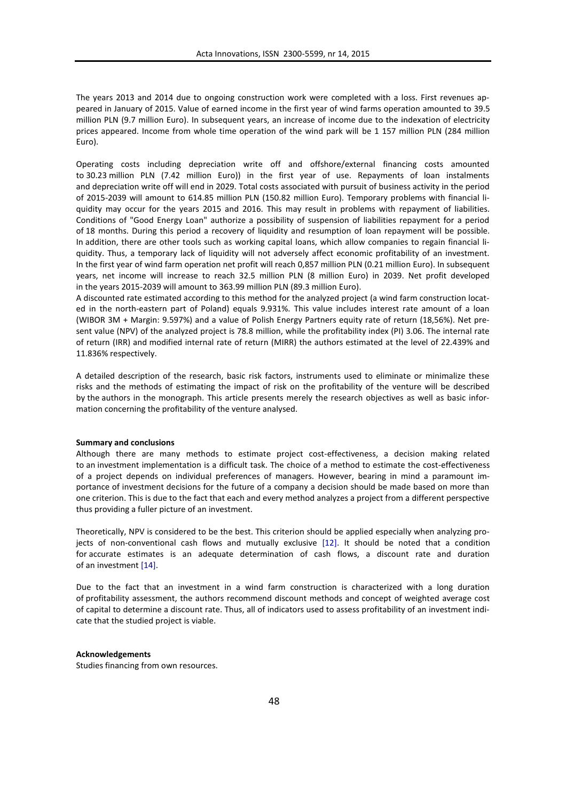The years 2013 and 2014 due to ongoing construction work were completed with a loss. First revenues appeared in January of 2015. Value of earned income in the first year of wind farms operation amounted to 39.5 million PLN (9.7 million Euro). In subsequent years, an increase of income due to the indexation of electricity prices appeared. Income from whole time operation of the wind park will be 1 157 million PLN (284 million Euro).

Operating costs including depreciation write off and offshore/external financing costs amounted to 30.23 million PLN (7.42 million Euro)) in the first year of use. Repayments of loan instalments and depreciation write off will end in 2029. Total costs associated with pursuit of business activity in the period of 2015-2039 will amount to 614.85 million PLN (150.82 million Euro). Temporary problems with financial liquidity may occur for the years 2015 and 2016. This may result in problems with repayment of liabilities. Conditions of "Good Energy Loan" authorize a possibility of suspension of liabilities repayment for a period of 18 months. During this period a recovery of liquidity and resumption of loan repayment will be possible. In addition, there are other tools such as working capital loans, which allow companies to regain financial liquidity. Thus, a temporary lack of liquidity will not adversely affect economic profitability of an investment. In the first year of wind farm operation net profit will reach 0,857 million PLN (0.21 million Euro). In subsequent years, net income will increase to reach 32.5 million PLN (8 million Euro) in 2039. Net profit developed in the years 2015-2039 will amount to 363.99 million PLN (89.3 million Euro).

A discounted rate estimated according to this method for the analyzed project (a wind farm construction located in the north-eastern part of Poland) equals 9.931%. This value includes interest rate amount of a loan (WIBOR 3M + Margin: 9.597%) and a value of Polish Energy Partners equity rate of return (18,56%). Net present value (NPV) of the analyzed project is 78.8 million, while the profitability index (PI) 3.06. The internal rate of return (IRR) and modified internal rate of return (MIRR) the authors estimated at the level of 22.439% and 11.836% respectively.

A detailed description of the research, basic risk factors, instruments used to eliminate or minimalize these risks and the methods of estimating the impact of risk on the profitability of the venture will be described by the authors in the monograph. This article presents merely the research objectives as well as basic information concerning the profitability of the venture analysed.

#### **Summary and conclusions**

Although there are many methods to estimate project cost-effectiveness, a decision making related to an investment implementation is a difficult task. The choice of a method to estimate the cost-effectiveness of a project depends on individual preferences of managers. However, bearing in mind a paramount importance of investment decisions for the future of a company a decision should be made based on more than one criterion. This is due to the fact that each and every method analyzes a project from a different perspective thus providing a fuller picture of an investment.

Theoretically, NPV is considered to be the best. This criterion should be applied especially when analyzing projects of non-conventional cash flows and mutually exclusive [12]. It should be noted that a condition for accurate estimates is an adequate determination of cash flows, a discount rate and duration of an investment [14].

Due to the fact that an investment in a wind farm construction is characterized with a long duration of profitability assessment, the authors recommend discount methods and concept of weighted average cost of capital to determine a discount rate. Thus, all of indicators used to assess profitability of an investment indicate that the studied project is viable.

#### **Acknowledgements**

Studies financing from own resources.